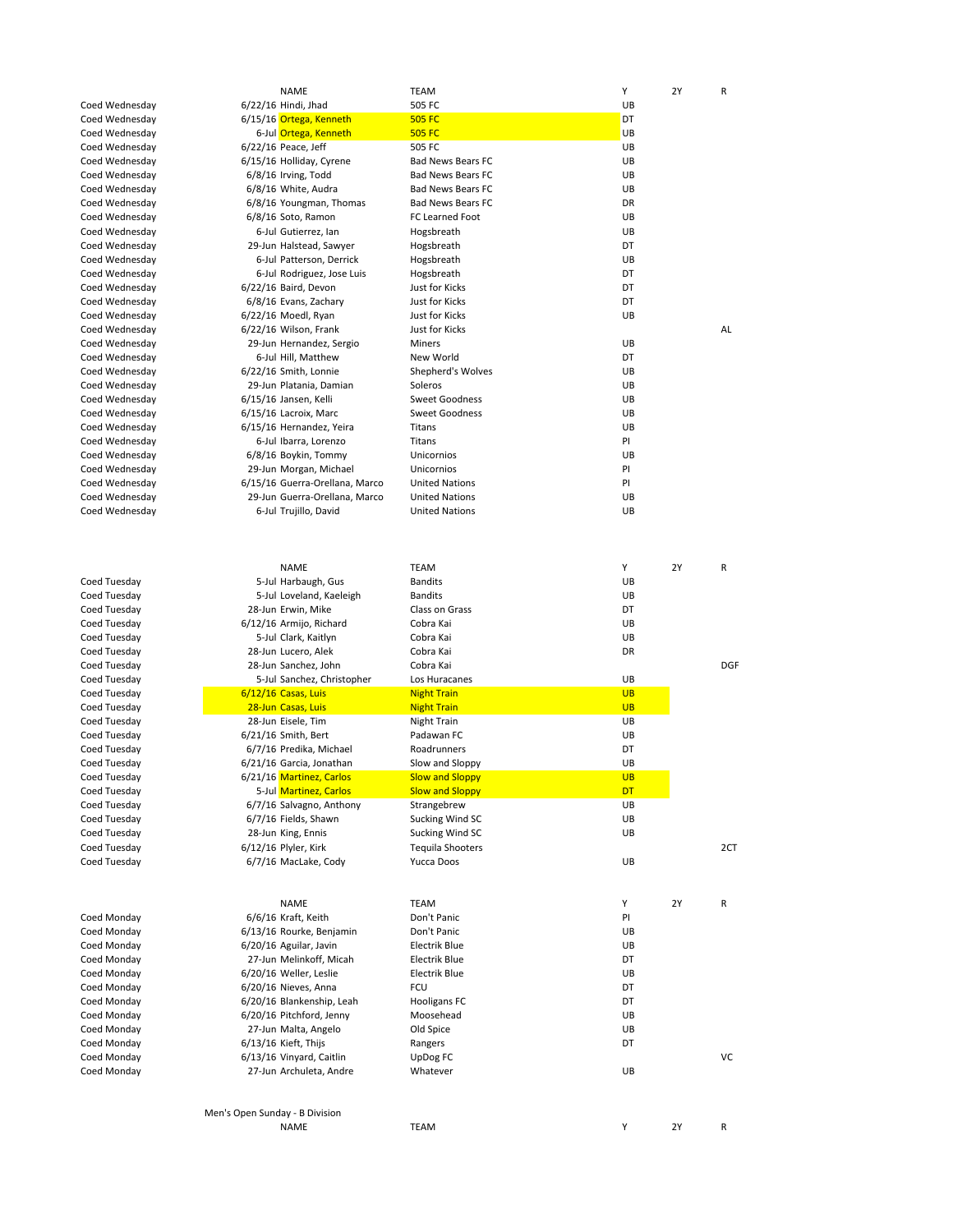|                | <b>NAME</b>                    | <b>TEAM</b>              | Y         |
|----------------|--------------------------------|--------------------------|-----------|
| Coed Wednesday | $6/22/16$ Hindi, Jhad          | 505 FC                   | UB        |
| Coed Wednesday | 6/15/16 Ortega, Kenneth        | <b>505 FC</b>            | DT        |
| Coed Wednesday | 6-Jul Ortega, Kenneth          | <b>505 FC</b>            | UB        |
| Coed Wednesday | 6/22/16 Peace, Jeff            | 505 FC                   | UB        |
| Coed Wednesday | 6/15/16 Holliday, Cyrene       | <b>Bad News Bears FC</b> | UB        |
| Coed Wednesday | 6/8/16 Irving, Todd            | <b>Bad News Bears FC</b> | UB        |
| Coed Wednesday | 6/8/16 White, Audra            | <b>Bad News Bears FC</b> | UB        |
| Coed Wednesday | 6/8/16 Youngman, Thomas        | <b>Bad News Bears FC</b> | DR        |
| Coed Wednesday | 6/8/16 Soto, Ramon             | FC Learned Foot          | UB        |
| Coed Wednesday | 6-Jul Gutierrez, Ian           | Hogsbreath               | UB        |
| Coed Wednesday | 29-Jun Halstead, Sawyer        | Hogsbreath               | DT        |
| Coed Wednesday | 6-Jul Patterson, Derrick       | Hogsbreath               | UB        |
| Coed Wednesday | 6-Jul Rodriguez, Jose Luis     | Hogsbreath               | DT        |
| Coed Wednesday | 6/22/16 Baird, Devon           | Just for Kicks           | DT        |
| Coed Wednesday | 6/8/16 Evans, Zachary          | Just for Kicks           | DT        |
| Coed Wednesday | $6/22/16$ Moedl, Ryan          | Just for Kicks           | UB        |
| Coed Wednesday | 6/22/16 Wilson, Frank          | Just for Kicks           |           |
| Coed Wednesday | 29-Jun Hernandez, Sergio       | Miners                   | UB        |
| Coed Wednesday | 6-Jul Hill, Matthew            | New World                | DT        |
| Coed Wednesday | 6/22/16 Smith, Lonnie          | Shepherd's Wolves        | UB        |
| Coed Wednesday | 29-Jun Platania, Damian        | Soleros                  | UB        |
| Coed Wednesday | 6/15/16 Jansen, Kelli          | <b>Sweet Goodness</b>    | UB        |
| Coed Wednesday | 6/15/16 Lacroix, Marc          | <b>Sweet Goodness</b>    | UB        |
| Coed Wednesday | 6/15/16 Hernandez, Yeira       | <b>Titans</b>            | UB        |
| Coed Wednesday | 6-Jul Ibarra, Lorenzo          | <b>Titans</b>            | PI        |
| Coed Wednesday | 6/8/16 Boykin, Tommy           | Unicornios               | UB        |
| Coed Wednesday | 29-Jun Morgan, Michael         | Unicornios               | PI        |
| Coed Wednesday | 6/15/16 Guerra-Orellana, Marco | <b>United Nations</b>    | PI        |
| Coed Wednesday | 29-Jun Guerra-Orellana, Marco  | <b>United Nations</b>    | UB        |
| Coed Wednesday | 6-Jul Trujillo, David          | <b>United Nations</b>    | UB        |
|                |                                |                          |           |
|                | <b>NAME</b>                    | <b>TEAM</b>              | Y         |
| Coed Tuesday   | 5-Jul Harbaugh, Gus            | <b>Bandits</b>           | UB        |
| Coed Tuesday   | 5-Jul Loveland, Kaeleigh       | <b>Bandits</b>           | UB        |
| Coed Tuesday   | 28-Jun Erwin, Mike             | Class on Grass           | DT        |
| Coed Tuesday   | 6/12/16 Armijo, Richard        | Cobra Kai                | UB        |
| Coed Tuesday   | 5-Jul Clark, Kaitlyn           | Cobra Kai                | UB        |
| Coed Tuesday   | 28-Jun Lucero, Alek            | Cobra Kai                | DR        |
| Coed Tuesday   | 28-Jun Sanchez, John           | Cobra Kai                |           |
| Coed Tuesday   | 5-Jul Sanchez, Christopher     | Los Huracanes            | UB        |
| Coed Tuesday   | 6/12/16 Casas, Luis            | <b>Night Train</b>       | <b>UB</b> |
| Coed Tuesday   | 28-Jun Casas, Luis             | <b>Night Train</b>       | <b>UB</b> |
| Coed Tuesday   | 28-Jun Eisele, Tim             | Night Train              | UB        |
| Coed Tuesday   | $6/21/16$ Smith, Bert          | Padawan FC               | UB        |

Coed Tuesday Coed Tuesday Coed Tuesday Coed Tuesday Coed Tuesday Coed Tuesday Coed Tuesday<br>Coed Tuesday

Coed Tuesday

Coed Monday Coed Monday Coed Monday Coed Monday Coed Monday Coed Monday Coed Monday Coed Monday Coed Monday Coed Monday<br>Coed Monday

Coed Monday

|                | <b>NAME</b>                    | <b>TEAM</b>              | Y         | 2Y | R  |
|----------------|--------------------------------|--------------------------|-----------|----|----|
| Coed Wednesday | 6/22/16 Hindi, Jhad            | 505 FC                   | UB        |    |    |
| Coed Wednesday | 6/15/16 Ortega, Kenneth        | <b>505 FC</b>            | DT        |    |    |
| Coed Wednesday | 6-Jul Ortega, Kenneth          | <b>505 FC</b>            | UB        |    |    |
| Coed Wednesday | 6/22/16 Peace, Jeff            | 505 FC                   | UB        |    |    |
| Coed Wednesday | 6/15/16 Holliday, Cyrene       | <b>Bad News Bears FC</b> | UB        |    |    |
| Coed Wednesday | 6/8/16 Irving, Todd            | <b>Bad News Bears FC</b> | <b>UB</b> |    |    |
| Coed Wednesday | 6/8/16 White, Audra            | <b>Bad News Bears FC</b> | <b>UB</b> |    |    |
| Coed Wednesday | 6/8/16 Youngman, Thomas        | <b>Bad News Bears FC</b> | <b>DR</b> |    |    |
| Coed Wednesday | 6/8/16 Soto, Ramon             | <b>FC Learned Foot</b>   | <b>UB</b> |    |    |
| Coed Wednesday | 6-Jul Gutierrez, Ian           | Hogsbreath               | <b>UB</b> |    |    |
| Coed Wednesday | 29-Jun Halstead, Sawyer        | Hogsbreath               | DT        |    |    |
| Coed Wednesday | 6-Jul Patterson, Derrick       | Hogsbreath               | <b>UB</b> |    |    |
| Coed Wednesday | 6-Jul Rodriguez, Jose Luis     | Hogsbreath               | DT        |    |    |
| Coed Wednesday | 6/22/16 Baird, Devon           | Just for Kicks           | DT        |    |    |
| Coed Wednesday | 6/8/16 Evans, Zachary          | Just for Kicks           | DT        |    |    |
| Coed Wednesday | 6/22/16 Moedl, Ryan            | Just for Kicks           | UB        |    |    |
| Coed Wednesday | 6/22/16 Wilson, Frank          | Just for Kicks           |           |    | AL |
| Coed Wednesday | 29-Jun Hernandez, Sergio       | Miners                   | <b>UB</b> |    |    |
| Coed Wednesday | 6-Jul Hill, Matthew            | New World                | DT        |    |    |
| Coed Wednesday | 6/22/16 Smith, Lonnie          | Shepherd's Wolves        | UB        |    |    |
| Coed Wednesday | 29-Jun Platania, Damian        | Soleros                  | UB        |    |    |
| Coed Wednesday | 6/15/16 Jansen, Kelli          | <b>Sweet Goodness</b>    | UB        |    |    |
| Coed Wednesday | 6/15/16 Lacroix, Marc          | <b>Sweet Goodness</b>    | <b>UB</b> |    |    |
| Coed Wednesday | 6/15/16 Hernandez, Yeira       | Titans                   | UB        |    |    |
| Coed Wednesday | 6-Jul Ibarra, Lorenzo          | <b>Titans</b>            | PI        |    |    |
| Coed Wednesday | 6/8/16 Boykin, Tommy           | Unicornios               | UB        |    |    |
| Coed Wednesday | 29-Jun Morgan, Michael         | Unicornios               | PI        |    |    |
| Coed Wednesday | 6/15/16 Guerra-Orellana, Marco | <b>United Nations</b>    | PI        |    |    |
| Coed Wednesday | 29-Jun Guerra-Orellana, Marco  | <b>United Nations</b>    | UB        |    |    |
| Coed Wednesdav | 6-Jul Trujillo, David          | <b>United Nations</b>    | UB        |    |    |

|              | <b>NAME</b>                    | <b>TEAM</b>             | Υ         | <b>2Y</b> | R          |
|--------------|--------------------------------|-------------------------|-----------|-----------|------------|
| Coed Tuesday | 5-Jul Harbaugh, Gus            | <b>Bandits</b>          | UB        |           |            |
| Coed Tuesday | 5-Jul Loveland, Kaeleigh       | <b>Bandits</b>          | UB        |           |            |
| Coed Tuesday | 28-Jun Erwin, Mike             | Class on Grass          | DT        |           |            |
| Coed Tuesday | 6/12/16 Armijo, Richard        | Cobra Kai               | UB        |           |            |
| Coed Tuesday | 5-Jul Clark, Kaitlyn           | Cobra Kai               | <b>UB</b> |           |            |
| Coed Tuesday | 28-Jun Lucero, Alek            | Cobra Kai               | DR        |           |            |
| Coed Tuesday | 28-Jun Sanchez, John           | Cobra Kai               |           |           | <b>DGF</b> |
| Coed Tuesday | 5-Jul Sanchez, Christopher     | Los Huracanes           | UB        |           |            |
| Coed Tuesday | 6/12/16 Casas, Luis            | <b>Night Train</b>      | <b>UB</b> |           |            |
| Coed Tuesday | 28-Jun Casas, Luis             | <b>Night Train</b>      | <b>UB</b> |           |            |
| Coed Tuesday | 28-Jun Eisele, Tim             | Night Train             | UB        |           |            |
| Coed Tuesday | 6/21/16 Smith, Bert            | Padawan FC              | <b>UB</b> |           |            |
| Coed Tuesday | 6/7/16 Predika, Michael        | Roadrunners             | DT        |           |            |
| Coed Tuesday | 6/21/16 Garcia, Jonathan       | Slow and Sloppy         | UB        |           |            |
| Coed Tuesday | 6/21/16 Martinez, Carlos       | <b>Slow and Sloppy</b>  | <b>UB</b> |           |            |
| Coed Tuesday | 5-Jul Martinez, Carlos         | <b>Slow and Sloppy</b>  | <b>DT</b> |           |            |
| Coed Tuesday | 6/7/16 Salvagno, Anthony       | Strangebrew             | <b>UB</b> |           |            |
| Coed Tuesday | 6/7/16 Fields, Shawn           | Sucking Wind SC         | <b>UB</b> |           |            |
| Coed Tuesday | 28-Jun King, Ennis             | Sucking Wind SC         | UB        |           |            |
| Coed Tuesday | 6/12/16 Plyler, Kirk           | <b>Tequila Shooters</b> |           |           | 2CT        |
| Coed Tuesday | 6/7/16 MacLake, Cody           | Yucca Doos              | UB        |           |            |
|              | <b>NAME</b>                    | <b>TEAM</b>             | Υ         | 2Y        | R          |
| Coed Monday  | 6/6/16 Kraft, Keith            | Don't Panic             | PI        |           |            |
| Coed Monday  | 6/13/16 Rourke, Benjamin       | Don't Panic             | UB        |           |            |
| Coed Monday  | 6/20/16 Aguilar, Javin         | <b>Electrik Blue</b>    | UB        |           |            |
| Coed Monday  | 27-Jun Melinkoff, Micah        | <b>Electrik Blue</b>    | DT        |           |            |
| Coed Monday  | 6/20/16 Weller, Leslie         | <b>Electrik Blue</b>    | <b>UB</b> |           |            |
| Coed Monday  | 6/20/16 Nieves, Anna           | <b>FCU</b>              | DT        |           |            |
| Coed Monday  | 6/20/16 Blankenship, Leah      | <b>Hooligans FC</b>     | DT        |           |            |
| Coed Monday  | 6/20/16 Pitchford, Jenny       | Moosehead               | UB        |           |            |
| Coed Monday  | 27-Jun Malta, Angelo           | Old Spice               | UB        |           |            |
| Coed Monday  | $6/13/16$ Kieft, Thijs         | Rangers                 | DT        |           |            |
| Coed Monday  | 6/13/16 Vinyard, Caitlin       | UpDog FC                |           |           | <b>VC</b>  |
| Coed Monday  | 27-Jun Archuleta, Andre        | Whatever                | UB        |           |            |
|              | Men's Open Sunday - B Division |                         |           |           |            |
|              | NAME                           | TEAM                    | Y         | <b>2Y</b> | R          |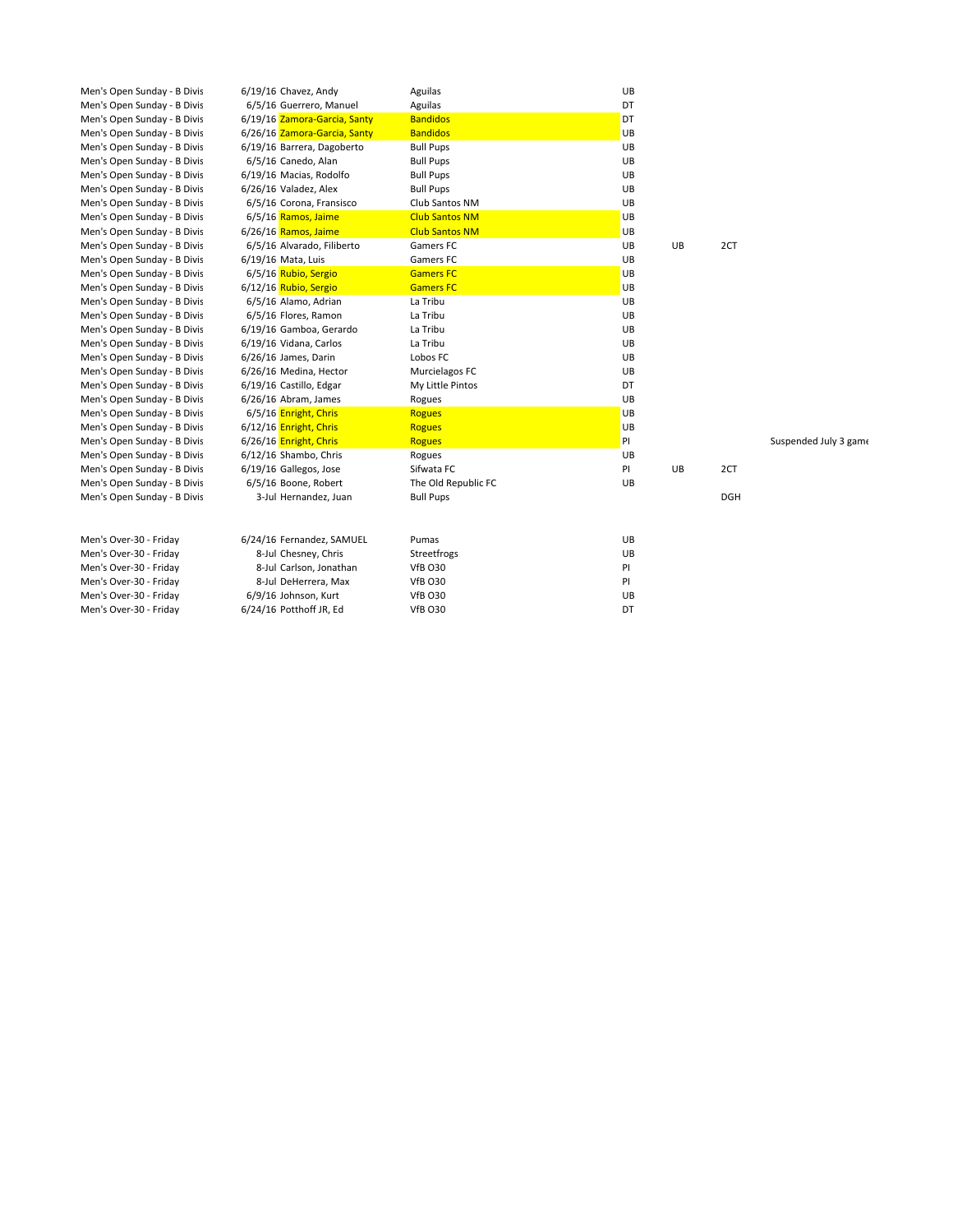| Men's Open Sunday - B Divis | 6/19/16 Chavez, Andy         | Aguilas               | UB |    |            |                       |
|-----------------------------|------------------------------|-----------------------|----|----|------------|-----------------------|
| Men's Open Sunday - B Divis | 6/5/16 Guerrero, Manuel      | Aguilas               | DT |    |            |                       |
| Men's Open Sunday - B Divis | 6/19/16 Zamora-Garcia, Santy | <b>Bandidos</b>       | DT |    |            |                       |
| Men's Open Sunday - B Divis | 6/26/16 Zamora-Garcia, Santy | <b>Bandidos</b>       | UB |    |            |                       |
| Men's Open Sunday - B Divis | 6/19/16 Barrera, Dagoberto   | <b>Bull Pups</b>      | UB |    |            |                       |
| Men's Open Sunday - B Divis | 6/5/16 Canedo, Alan          | <b>Bull Pups</b>      | UB |    |            |                       |
| Men's Open Sunday - B Divis | 6/19/16 Macias, Rodolfo      | <b>Bull Pups</b>      | UB |    |            |                       |
| Men's Open Sunday - B Divis | 6/26/16 Valadez, Alex        | <b>Bull Pups</b>      | UB |    |            |                       |
| Men's Open Sunday - B Divis | 6/5/16 Corona, Fransisco     | Club Santos NM        | UB |    |            |                       |
| Men's Open Sunday - B Divis | 6/5/16 Ramos, Jaime          | <b>Club Santos NM</b> | UB |    |            |                       |
| Men's Open Sunday - B Divis | 6/26/16 Ramos, Jaime         | <b>Club Santos NM</b> | UB |    |            |                       |
| Men's Open Sunday - B Divis | 6/5/16 Alvarado, Filiberto   | Gamers FC             | UB | UB | 2CT        |                       |
| Men's Open Sunday - B Divis | 6/19/16 Mata, Luis           | Gamers FC             | UB |    |            |                       |
| Men's Open Sunday - B Divis | 6/5/16 Rubio, Sergio         | <b>Gamers FC</b>      | UB |    |            |                       |
| Men's Open Sunday - B Divis | 6/12/16 Rubio, Sergio        | <b>Gamers FC</b>      | UB |    |            |                       |
| Men's Open Sunday - B Divis | 6/5/16 Alamo, Adrian         | La Tribu              | UB |    |            |                       |
| Men's Open Sunday - B Divis | 6/5/16 Flores, Ramon         | La Tribu              | UB |    |            |                       |
| Men's Open Sunday - B Divis | 6/19/16 Gamboa, Gerardo      | La Tribu              | UB |    |            |                       |
| Men's Open Sunday - B Divis | 6/19/16 Vidana, Carlos       | La Tribu              | UB |    |            |                       |
| Men's Open Sunday - B Divis | 6/26/16 James, Darin         | Lobos FC              | UB |    |            |                       |
| Men's Open Sunday - B Divis | 6/26/16 Medina, Hector       | Murcielagos FC        | UB |    |            |                       |
| Men's Open Sunday - B Divis | 6/19/16 Castillo, Edgar      | My Little Pintos      | DT |    |            |                       |
| Men's Open Sunday - B Divis | 6/26/16 Abram, James         | Rogues                | UB |    |            |                       |
| Men's Open Sunday - B Divis | 6/5/16 Enright, Chris        | <b>Rogues</b>         | UB |    |            |                       |
| Men's Open Sunday - B Divis | 6/12/16 Enright, Chris       | <b>Rogues</b>         | UB |    |            |                       |
| Men's Open Sunday - B Divis | 6/26/16 Enright, Chris       | <b>Rogues</b>         | PI |    |            | Suspended July 3 game |
| Men's Open Sunday - B Divis | 6/12/16 Shambo, Chris        | Rogues                | UB |    |            |                       |
| Men's Open Sunday - B Divis | 6/19/16 Gallegos, Jose       | Sifwata FC            | PI | UB | 2CT        |                       |
| Men's Open Sunday - B Divis | 6/5/16 Boone, Robert         | The Old Republic FC   | UB |    |            |                       |
| Men's Open Sunday - B Divis | 3-Jul Hernandez, Juan        | <b>Bull Pups</b>      |    |    | <b>DGH</b> |                       |
|                             |                              |                       |    |    |            |                       |
|                             |                              |                       |    |    |            |                       |
| Men's Over-30 - Friday      | 6/24/16 Fernandez, SAMUEL    | Pumas                 | UB |    |            |                       |
| Men's Over-30 - Friday      | 8-Jul Chesney, Chris         | Streetfrogs           | UB |    |            |                       |
| Men's Over-30 - Friday      | 8-Jul Carlson, Jonathan      | <b>VfB 030</b>        | PI |    |            |                       |
| Men's Over-30 - Friday      | 8-Jul DeHerrera, Max         | <b>VfB 030</b>        | PI |    |            |                       |
| Men's Over-30 - Friday      | 6/9/16 Johnson, Kurt         | <b>VfB 030</b>        | UB |    |            |                       |
| Men's Over-30 - Friday      | 6/24/16 Potthoff JR, Ed      | <b>VfB 030</b>        | DT |    |            |                       |
|                             |                              |                       |    |    |            |                       |